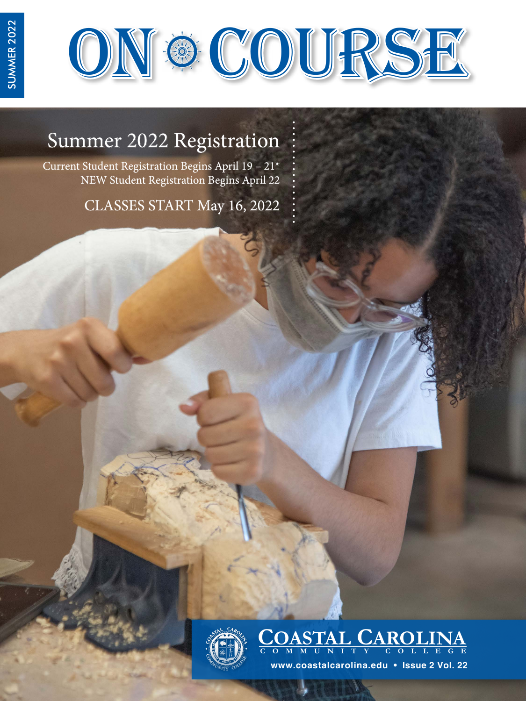

# Summer 2022 Registration

Current Student Registration Begins April 19 – 21\* NEW Student Registration Begins April 22

CLASSES START May 16, 2022



**COASTAL CAROLINA C O M M U NIT Y C O LLEG E**

**www.coastalcarolina.edu • Issue 2 Vol. 22**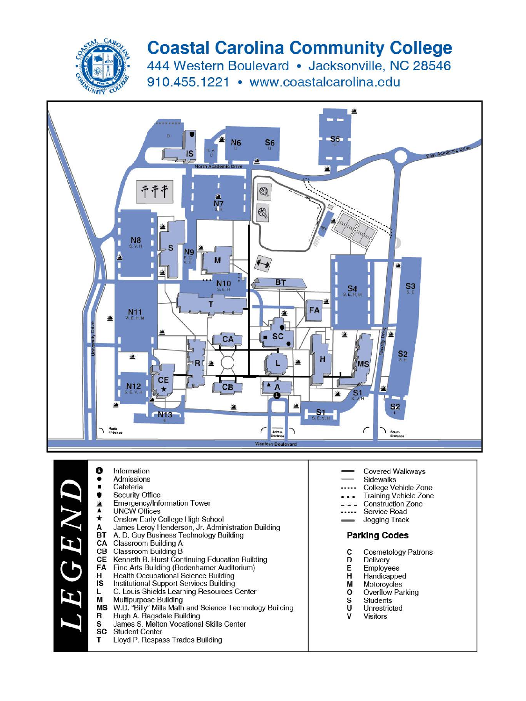

# **Coastal Carolina Community College**

444 Western Boulevard · Jacksonville, NC 28546 910.455.1221 • www.coastalcarolina.edu



| Cafeteria                                               |
|---------------------------------------------------------|
| <b>Security Office</b>                                  |
| Emergency/Information Tower                             |
| <b>UNCW Offices</b>                                     |
| Onslow Early College High School                        |
| James Leroy Henderson, Jr. Administration Building      |
| A. D. Guy Business Technology Building                  |
| Classroom Building A                                    |
| Classroom Building B                                    |
| Kenneth B. Hurst Continuing Education Building          |
| Fine Arts Building (Bodenhamer Auditorium)              |
| Health Occupational Science Building                    |
| Institutional Support Services Building                 |
| C. Louis Shields Learning Resources Center              |
| Multipurpose Building                                   |
| W.D. "Billy" Mills Math and Science Technology Building |
| Hugh A. Ragsdale Building                               |
|                                                         |

- James S. Melton Vocational Skills Center
- **SC Student Center**

Information

Admissions

Lloyd P. Respass Trades Building

- **Covered Walkways**
- **Sidewalks**
- College Vehicle Zone
- **Training Vehicle Zone**
- Construction Zone
- Service Road
- Jogging Track

### **Parking Codes**

- C **Cosmetology Patrons**
- Delivery D
- Е Employees
- Handicapped H
- M Motorcycles
- $\mathbf 0$ Overflow Parking
- $_{\rm U}^{\rm s}$ Students Unrestricted
- $\mathsf{v}$
- **Visitors**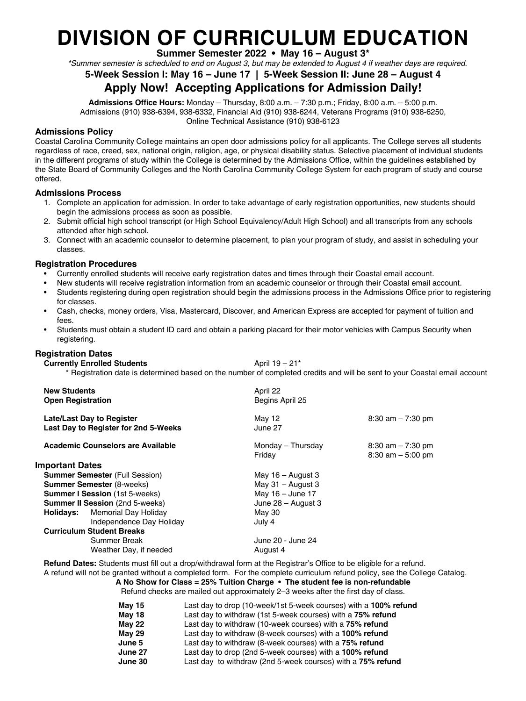# **DIVISION OF CURRICULUM EDUCATION**

**Summer Semester 2022 • May 16 – August 3\***

*\*Summer semester is scheduled to end on August 3, but may be extended to August 4 if weather days are required.* 

### **5-Week Session I: May 16 – June 17 | 5-Week Session II: June 28 – August 4**

## **Apply Now! Accepting Applications for Admission Daily!**

**Admissions Office Hours:** Monday – Thursday, 8:00 a.m. – 7:30 p.m.; Friday, 8:00 a.m. – 5:00 p.m. Admissions (910) 938-6394, 938-6332, Financial Aid (910) 938-6244, Veterans Programs (910) 938-6250, Online Technical Assistance (910) 938-6123

**Admissions Policy**

Coastal Carolina Community College maintains an open door admissions policy for all applicants. The College serves all students regardless of race, creed, sex, national origin, religion, age, or physical disability status. Selective placement of individual students in the different programs of study within the College is determined by the Admissions Office, within the guidelines established by the State Board of Community Colleges and the North Carolina Community College System for each program of study and course offered.

#### **Admissions Process**

- 1. Complete an application for admission. In order to take advantage of early registration opportunities, new students should begin the admissions process as soon as possible.
- 2. Submit official high school transcript (or High School Equivalency/Adult High School) and all transcripts from any schools attended after high school.
- 3. Connect with an academic counselor to determine placement, to plan your program of study, and assist in scheduling your classes.

#### **Registration Procedures**

- Currently enrolled students will receive early registration dates and times through their Coastal email account.
- New students will receive registration information from an academic counselor or through their Coastal email account.
- Students registering during open registration should begin the admissions process in the Admissions Office prior to registering for classes.
- Cash, checks, money orders, Visa, Mastercard, Discover, and American Express are accepted for payment of tuition and fees.
- Students must obtain a student ID card and obtain a parking placard for their motor vehicles with Campus Security when registering.

#### **Registration Dates**

**Currently Enrolled Students April 19 – 21\*** 

\* Registration date is determined based on the number of completed credits and will be sent to your Coastal email account

| April 22<br>Begins April 25 |                                              |  |
|-----------------------------|----------------------------------------------|--|
| May 12<br>June 27           | $8:30$ am $-7:30$ pm                         |  |
| Monday - Thursday<br>Friday | $8:30$ am $-7:30$ pm<br>$8:30$ am $-5:00$ pm |  |
|                             |                                              |  |
| May $16 -$ August 3         |                                              |  |
| May $31 -$ August 3         |                                              |  |
| May 16 - June 17            |                                              |  |
| June 28 - August 3          |                                              |  |
| May 30                      |                                              |  |
| July 4                      |                                              |  |
|                             |                                              |  |
| June 20 - June 24           |                                              |  |
| August 4                    |                                              |  |
|                             |                                              |  |

**Refund Dates:** Students must fill out a drop/withdrawal form at the Registrar's Office to be eligible for a refund. A refund will not be granted without a completed form. For the complete curriculum refund policy, see the College Catalog.

**A No Show for Class = 25% Tuition Charge • The student fee is non-refundable** Refund checks are mailed out approximately 2–3 weeks after the first day of class.

| <b>May 15</b> | Last day to drop (10-week/1st 5-week courses) with a 100% refund |
|---------------|------------------------------------------------------------------|
| <b>May 18</b> | Last day to withdraw (1st 5-week courses) with a 75% refund      |
| <b>May 22</b> | Last day to withdraw (10-week courses) with a 75% refund         |
| <b>May 29</b> | Last day to withdraw (8-week courses) with a 100% refund         |
| June 5        | Last day to withdraw (8-week courses) with a 75% refund          |
| June 27       | Last day to drop (2nd 5-week courses) with a 100% refund         |
| June 30       | Last day to withdraw (2nd 5-week courses) with a 75% refund      |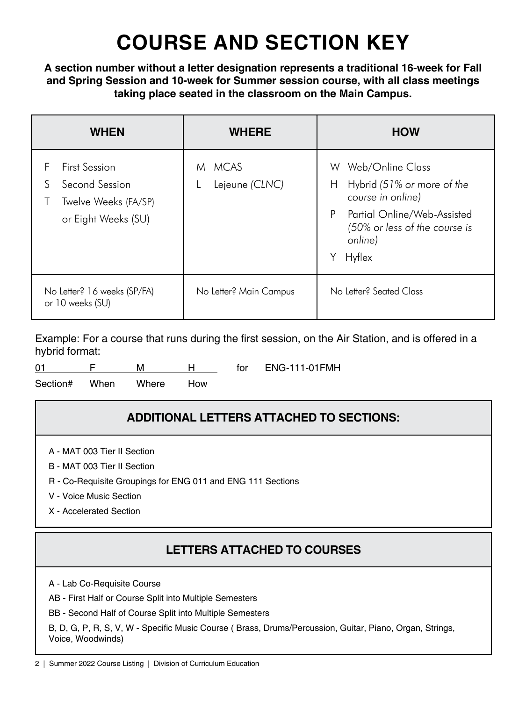# **COURSE AND SECTION KEY**

**A section number without a letter designation represents a traditional 16-week for Fall and Spring Session and 10-week for Summer session course, with all class meetings taking place seated in the classroom on the Main Campus.**

| <b>WHEN</b>                                                                                     | <b>WHERE</b>             | <b>HOW</b>                                                                                                                                                                           |
|-------------------------------------------------------------------------------------------------|--------------------------|--------------------------------------------------------------------------------------------------------------------------------------------------------------------------------------|
| <b>First Session</b><br>F<br>S<br>Second Session<br>Twelve Weeks (FA/SP)<br>or Eight Weeks (SU) | M MCAS<br>Lejeune (CLNC) | Web/Online Class<br>W.<br>Hybrid (51% or more of the<br>Н<br>course in online)<br>P<br>Partial Online/Web-Assisted<br>(50% or less of the course is<br>online)<br>Υ<br><b>Hyflex</b> |
| No Letter? 16 weeks (SP/FA)<br>or 10 weeks (SU)                                                 | No Letter? Main Campus   | No Letter <sup>2</sup> Seated Class                                                                                                                                                  |

Example: For a course that runs during the first session, on the Air Station, and is offered in a hybrid format:

Section# When Where How

# **ADDITIONAL LETTERS ATTACHED TO SECTIONS:**

- A MAT 003 Tier II Section
- B MAT 003 Tier II Section
- R Co-Requisite Groupings for ENG 011 and ENG 111 Sections
- V Voice Music Section
- X Accelerated Section

# **LETTERS ATTACHED TO COURSES**

A - Lab Co-Requisite Course

AB - First Half or Course Split into Multiple Semesters

BB - Second Half of Course Split into Multiple Semesters

B, D, G, P, R, S, V, W - Specific Music Course ( Brass, Drums/Percussion, Guitar, Piano, Organ, Strings, Voice, Woodwinds)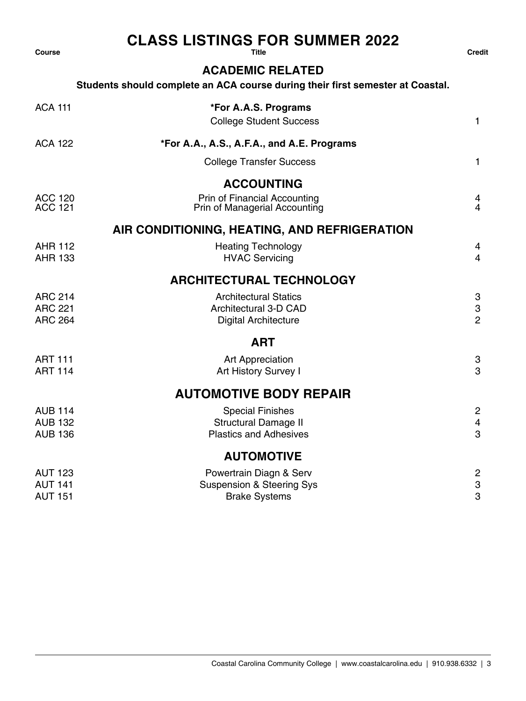# CLASS LISTINGS FOR SUMMER 2022 Credit<br><sup>Course</sup> Credit

### **ACADEMIC RELATED**

### **Students should complete an ACA course during their first semester at Coastal.**

| <b>ACA 111</b>                   | *For A.A.S. Programs<br><b>College Student Success</b>        | 1                                           |
|----------------------------------|---------------------------------------------------------------|---------------------------------------------|
| <b>ACA 122</b>                   | *For A.A., A.S., A.F.A., and A.E. Programs                    |                                             |
|                                  | <b>College Transfer Success</b>                               | 1                                           |
|                                  | <b>ACCOUNTING</b>                                             |                                             |
| <b>ACC 120</b><br>ACC 121        | Prin of Financial Accounting<br>Prin of Managerial Accounting | 4<br>$\overline{4}$                         |
|                                  | AIR CONDITIONING, HEATING, AND REFRIGERATION                  |                                             |
| <b>AHR 112</b><br><b>AHR 133</b> | <b>Heating Technology</b><br><b>HVAC Servicing</b>            | 4<br>$\overline{4}$                         |
|                                  | <b>ARCHITECTURAL TECHNOLOGY</b>                               |                                             |
| <b>ARC 214</b>                   | <b>Architectural Statics</b>                                  | 3                                           |
| <b>ARC 221</b><br><b>ARC 264</b> | Architectural 3-D CAD<br><b>Digital Architecture</b>          | $\ensuremath{\mathsf{3}}$<br>$\overline{2}$ |
|                                  | <b>ART</b>                                                    |                                             |
| <b>ART 111</b>                   | Art Appreciation                                              | 3                                           |
| <b>ART 114</b>                   | Art History Survey I                                          | 3                                           |
|                                  | <b>AUTOMOTIVE BODY REPAIR</b>                                 |                                             |
| <b>AUB 114</b>                   | <b>Special Finishes</b>                                       | $\overline{c}$                              |
| <b>AUB 132</b>                   | <b>Structural Damage II</b>                                   | $\overline{4}$                              |
| <b>AUB 136</b>                   | <b>Plastics and Adhesives</b>                                 | 3                                           |
|                                  | <b>AUTOMOTIVE</b>                                             |                                             |
| <b>AUT 123</b>                   | Powertrain Diagn & Serv                                       | $\overline{c}$                              |
| <b>AUT 141</b><br><b>AUT 151</b> | <b>Suspension &amp; Steering Sys</b><br><b>Brake Systems</b>  | $\ensuremath{\mathsf{3}}$<br>3              |
|                                  |                                                               |                                             |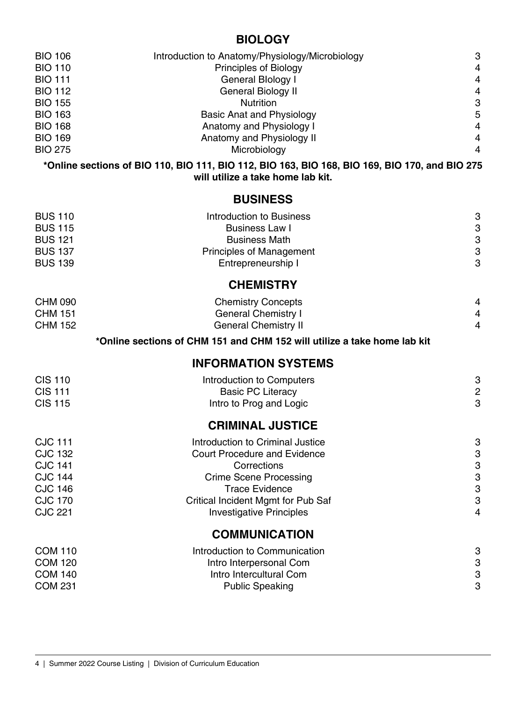## **BIOLOGY**

| <b>BIO 106</b> | Introduction to Anatomy/Physiology/Microbiology | 3              |
|----------------|-------------------------------------------------|----------------|
| <b>BIO 110</b> | Principles of Biology                           | $\overline{4}$ |
| BIO 111        | General Blology I                               | $\overline{4}$ |
| BIO 112        | General Biology II                              | $\overline{4}$ |
| <b>BIO 155</b> | <b>Nutrition</b>                                | 3              |
| BIO 163        | Basic Anat and Physiology                       | 5              |
| <b>BIO 168</b> | Anatomy and Physiology I                        | 4              |
| <b>BIO 169</b> | Anatomy and Physiology II                       | 4              |
| <b>BIO 275</b> | Microbiology                                    | $\overline{4}$ |
|                |                                                 |                |

**\*Online sections of BIO 110, BIO 111, BIO 112, BIO 163, BIO 168, BIO 169, BIO 170, and BIO 275 will utilize a take home lab kit.**

## **BUSINESS**

| <b>BUS 110</b><br><b>BUS 115</b><br><b>BUS 121</b><br><b>BUS 137</b><br><b>BUS 139</b> | Introduction to Business<br><b>Business Law I</b><br><b>Business Math</b><br>Principles of Management<br>Entrepreneurship I | 3<br>3<br>$\ensuremath{\mathsf{3}}$<br>3<br>3 |
|----------------------------------------------------------------------------------------|-----------------------------------------------------------------------------------------------------------------------------|-----------------------------------------------|
|                                                                                        | <b>CHEMISTRY</b>                                                                                                            |                                               |
| <b>CHM 090</b>                                                                         | <b>Chemistry Concepts</b>                                                                                                   | 4                                             |
| <b>CHM 151</b>                                                                         | <b>General Chemistry I</b>                                                                                                  | 4                                             |
| <b>CHM 152</b>                                                                         | <b>General Chemistry II</b>                                                                                                 | 4                                             |
|                                                                                        | *Online sections of CHM 151 and CHM 152 will utilize a take home lab kit                                                    |                                               |
|                                                                                        | <b>INFORMATION SYSTEMS</b>                                                                                                  |                                               |
| <b>CIS 110</b>                                                                         | Introduction to Computers                                                                                                   | 3                                             |
| <b>CIS 111</b>                                                                         | <b>Basic PC Literacy</b>                                                                                                    | $\overline{\mathbf{c}}$                       |
| <b>CIS 115</b>                                                                         | Intro to Prog and Logic                                                                                                     | 3                                             |
|                                                                                        | <b>CRIMINAL JUSTICE</b>                                                                                                     |                                               |
| <b>CJC 111</b>                                                                         | Introduction to Criminal Justice                                                                                            | 3                                             |
| <b>CJC 132</b>                                                                         | <b>Court Procedure and Evidence</b>                                                                                         | $\ensuremath{\mathsf{3}}$                     |
| <b>CJC 141</b>                                                                         | Corrections                                                                                                                 | $\ensuremath{\mathsf{3}}$                     |
| <b>CJC 144</b>                                                                         | <b>Crime Scene Processing</b>                                                                                               | 3                                             |
| <b>CJC 146</b>                                                                         | <b>Trace Evidence</b>                                                                                                       | $\mbox{3}$                                    |
| <b>CJC 170</b>                                                                         | Critical Incident Mgmt for Pub Saf                                                                                          | 3                                             |
| <b>CJC 221</b>                                                                         | <b>Investigative Principles</b>                                                                                             | $\overline{4}$                                |
|                                                                                        | <b>COMMUNICATION</b>                                                                                                        |                                               |
| <b>COM 110</b>                                                                         | Introduction to Communication                                                                                               | 3                                             |
| <b>COM 120</b>                                                                         | Intro Interpersonal Com                                                                                                     | $\ensuremath{\mathsf{3}}$                     |
| <b>COM 140</b>                                                                         | Intro Intercultural Com                                                                                                     | 3                                             |
| <b>COM 231</b>                                                                         | <b>Public Speaking</b>                                                                                                      | 3                                             |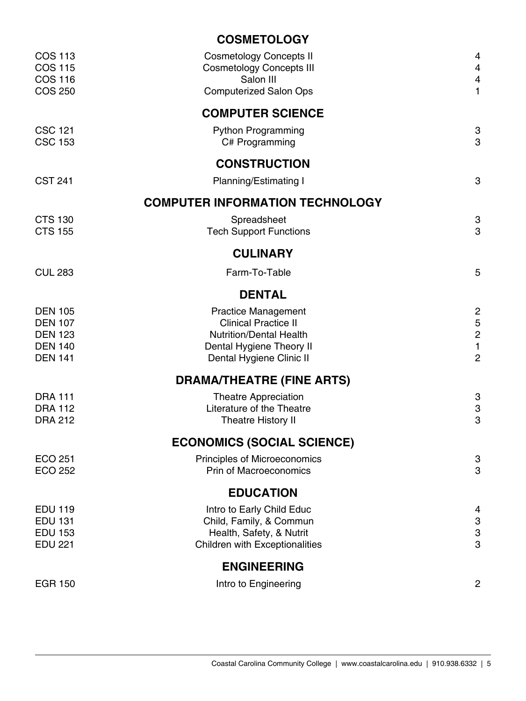|                                                                                        | <b>COSMETOLOGY</b>                                                                                                                                  |                                                                                     |
|----------------------------------------------------------------------------------------|-----------------------------------------------------------------------------------------------------------------------------------------------------|-------------------------------------------------------------------------------------|
| <b>COS 113</b><br><b>COS 115</b><br><b>COS 116</b><br><b>COS 250</b>                   | <b>Cosmetology Concepts II</b><br><b>Cosmetology Concepts III</b><br>Salon III<br><b>Computerized Salon Ops</b>                                     | 4<br>$\overline{4}$<br>$\overline{4}$<br>$\mathbf{1}$                               |
|                                                                                        | <b>COMPUTER SCIENCE</b>                                                                                                                             |                                                                                     |
| <b>CSC 121</b><br><b>CSC 153</b>                                                       | <b>Python Programming</b><br>C# Programming                                                                                                         | 3<br>3                                                                              |
|                                                                                        | <b>CONSTRUCTION</b>                                                                                                                                 |                                                                                     |
| <b>CST 241</b>                                                                         | Planning/Estimating I                                                                                                                               | 3                                                                                   |
|                                                                                        | <b>COMPUTER INFORMATION TECHNOLOGY</b>                                                                                                              |                                                                                     |
| <b>CTS 130</b><br><b>CTS 155</b>                                                       | Spreadsheet<br><b>Tech Support Functions</b>                                                                                                        | 3<br>3                                                                              |
|                                                                                        | <b>CULINARY</b>                                                                                                                                     |                                                                                     |
| <b>CUL 283</b>                                                                         | Farm-To-Table                                                                                                                                       | 5                                                                                   |
|                                                                                        | <b>DENTAL</b>                                                                                                                                       |                                                                                     |
| <b>DEN 105</b><br><b>DEN 107</b><br><b>DEN 123</b><br><b>DEN 140</b><br><b>DEN 141</b> | <b>Practice Management</b><br><b>Clinical Practice II</b><br><b>Nutrition/Dental Health</b><br>Dental Hygiene Theory II<br>Dental Hygiene Clinic II | $\overline{c}$<br>$\mathbf 5$<br>$\boldsymbol{2}$<br>$\mathbf{1}$<br>$\overline{2}$ |
|                                                                                        | <b>DRAMA/THEATRE (FINE ARTS)</b>                                                                                                                    |                                                                                     |
| <b>DRA 111</b><br><b>DRA 112</b><br><b>DRA 212</b>                                     | <b>Theatre Appreciation</b><br>Literature of the Theatre<br>Theatre History II                                                                      | 3<br>3<br>3                                                                         |
|                                                                                        | <b>ECONOMICS (SOCIAL SCIENCE)</b>                                                                                                                   |                                                                                     |
| <b>ECO 251</b><br><b>ECO 252</b>                                                       | Principles of Microeconomics<br>Prin of Macroeconomics                                                                                              | 3<br>3                                                                              |
|                                                                                        | <b>EDUCATION</b>                                                                                                                                    |                                                                                     |
| <b>EDU 119</b><br><b>EDU 131</b><br><b>EDU 153</b><br><b>EDU 221</b>                   | Intro to Early Child Educ<br>Child, Family, & Commun<br>Health, Safety, & Nutrit<br>Children with Exceptionalities                                  | 4<br>3<br>3<br>3                                                                    |
|                                                                                        | <b>ENGINEERING</b>                                                                                                                                  |                                                                                     |
| <b>EGR 150</b>                                                                         | Intro to Engineering                                                                                                                                | $\mathbf{2}$                                                                        |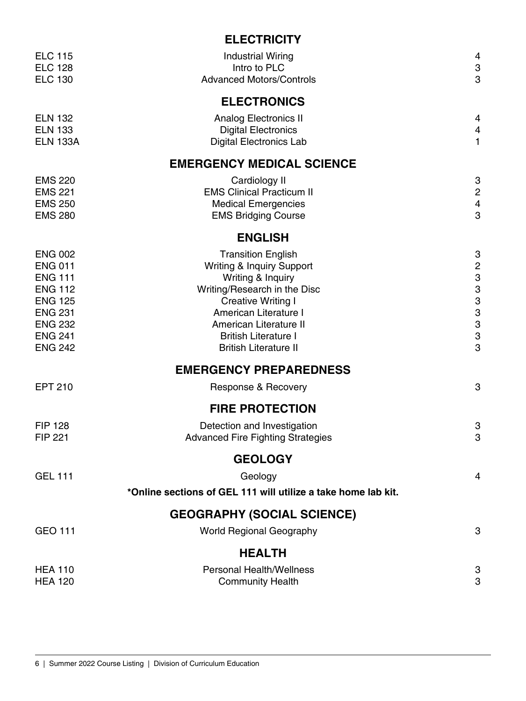## **ELECTRICITY**

| <b>ELC 115</b><br><b>ELC 128</b><br><b>ELC 130</b>                                                                                                             | <b>Industrial Wiring</b><br>Intro to PLC<br><b>Advanced Motors/Controls</b>                                                                                                                                                                                | 4<br>3<br>3                                          |
|----------------------------------------------------------------------------------------------------------------------------------------------------------------|------------------------------------------------------------------------------------------------------------------------------------------------------------------------------------------------------------------------------------------------------------|------------------------------------------------------|
|                                                                                                                                                                | <b>ELECTRONICS</b>                                                                                                                                                                                                                                         |                                                      |
| <b>ELN 132</b><br><b>ELN 133</b><br><b>ELN 133A</b>                                                                                                            | <b>Analog Electronics II</b><br><b>Digital Electronics</b><br><b>Digital Electronics Lab</b>                                                                                                                                                               | 4<br>4<br>1                                          |
|                                                                                                                                                                | <b>EMERGENCY MEDICAL SCIENCE</b>                                                                                                                                                                                                                           |                                                      |
| <b>EMS 220</b><br><b>EMS 221</b><br><b>EMS 250</b><br><b>EMS 280</b>                                                                                           | Cardiology II<br><b>EMS Clinical Practicum II</b><br><b>Medical Emergencies</b><br><b>EMS Bridging Course</b>                                                                                                                                              | 3<br>$\overline{c}$<br>$\overline{\mathcal{A}}$<br>3 |
|                                                                                                                                                                | <b>ENGLISH</b>                                                                                                                                                                                                                                             |                                                      |
| <b>ENG 002</b><br><b>ENG 011</b><br><b>ENG 111</b><br><b>ENG 112</b><br><b>ENG 125</b><br><b>ENG 231</b><br><b>ENG 232</b><br><b>ENG 241</b><br><b>ENG 242</b> | <b>Transition English</b><br>Writing & Inquiry Support<br>Writing & Inquiry<br>Writing/Research in the Disc<br><b>Creative Writing I</b><br>American Literature I<br>American Literature II<br><b>British Literature I</b><br><b>British Literature II</b> | 3<br>$\frac{2}{3}$<br>3<br>3<br>3<br>3<br>3<br>3     |
|                                                                                                                                                                | <b>EMERGENCY PREPAREDNESS</b>                                                                                                                                                                                                                              |                                                      |
| <b>EPT 210</b>                                                                                                                                                 | Response & Recovery                                                                                                                                                                                                                                        | 3                                                    |
|                                                                                                                                                                | <b>FIRE PROTECTION</b>                                                                                                                                                                                                                                     |                                                      |
| <b>FIP 128</b><br><b>FIP 221</b>                                                                                                                               | Detection and Investigation<br><b>Advanced Fire Fighting Strategies</b>                                                                                                                                                                                    | 3<br>3                                               |
|                                                                                                                                                                | <b>GEOLOGY</b>                                                                                                                                                                                                                                             |                                                      |
| <b>GEL 111</b>                                                                                                                                                 | Geology<br>*Online sections of GEL 111 will utilize a take home lab kit.                                                                                                                                                                                   | 4                                                    |
|                                                                                                                                                                | <b>GEOGRAPHY (SOCIAL SCIENCE)</b>                                                                                                                                                                                                                          |                                                      |
| GEO 111                                                                                                                                                        | <b>World Regional Geography</b>                                                                                                                                                                                                                            | 3                                                    |
|                                                                                                                                                                | <b>HEALTH</b>                                                                                                                                                                                                                                              |                                                      |
| <b>HEA 110</b><br><b>HEA 120</b>                                                                                                                               | <b>Personal Health/Wellness</b><br><b>Community Health</b>                                                                                                                                                                                                 | 3<br>3                                               |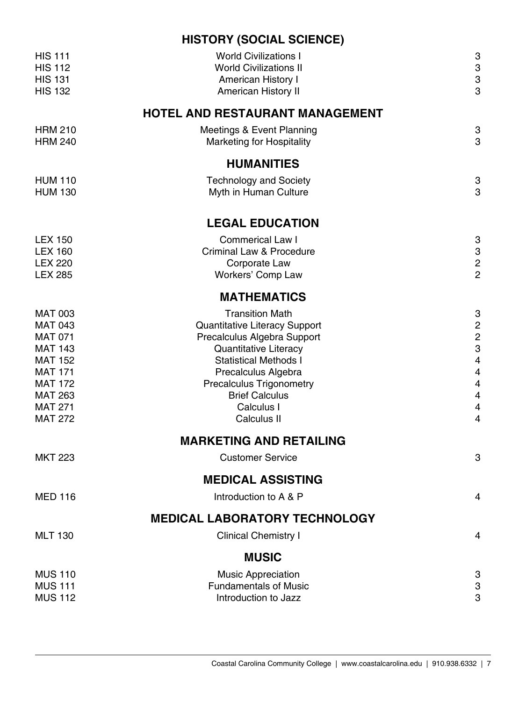## **HISTORY (SOCIAL SCIENCE)**

| <b>HIS 111</b><br><b>HIS 112</b><br><b>HIS 131</b><br><b>HIS 132</b>                                                                                                             | <b>World Civilizations I</b><br><b>World Civilizations II</b><br>American History I<br>American History II                                                                                                                                                      | 3<br>3<br>3<br>3                                                                                                                                                           |
|----------------------------------------------------------------------------------------------------------------------------------------------------------------------------------|-----------------------------------------------------------------------------------------------------------------------------------------------------------------------------------------------------------------------------------------------------------------|----------------------------------------------------------------------------------------------------------------------------------------------------------------------------|
|                                                                                                                                                                                  | <b>HOTEL AND RESTAURANT MANAGEMENT</b>                                                                                                                                                                                                                          |                                                                                                                                                                            |
| <b>HRM 210</b><br><b>HRM 240</b>                                                                                                                                                 | Meetings & Event Planning<br><b>Marketing for Hospitality</b>                                                                                                                                                                                                   | 3<br>3                                                                                                                                                                     |
|                                                                                                                                                                                  | <b>HUMANITIES</b>                                                                                                                                                                                                                                               |                                                                                                                                                                            |
| <b>HUM 110</b><br><b>HUM 130</b>                                                                                                                                                 | <b>Technology and Society</b><br>Myth in Human Culture                                                                                                                                                                                                          | 3<br>3                                                                                                                                                                     |
|                                                                                                                                                                                  | <b>LEGAL EDUCATION</b>                                                                                                                                                                                                                                          |                                                                                                                                                                            |
| <b>LEX 150</b><br><b>LEX 160</b><br><b>LEX 220</b><br><b>LEX 285</b>                                                                                                             | <b>Commerical Law I</b><br>Criminal Law & Procedure<br>Corporate Law<br>Workers' Comp Law                                                                                                                                                                       | 3<br>3<br>$\overline{c}$<br>$\overline{c}$                                                                                                                                 |
|                                                                                                                                                                                  | <b>MATHEMATICS</b>                                                                                                                                                                                                                                              |                                                                                                                                                                            |
| <b>MAT 003</b><br><b>MAT 043</b><br><b>MAT 071</b><br><b>MAT 143</b><br><b>MAT 152</b><br><b>MAT 171</b><br><b>MAT 172</b><br><b>MAT 263</b><br><b>MAT 271</b><br><b>MAT 272</b> | <b>Transition Math</b><br>Quantitative Literacy Support<br>Precalculus Algebra Support<br>Quantitative Literacy<br><b>Statistical Methods I</b><br>Precalculus Algebra<br><b>Precalculus Trigonometry</b><br><b>Brief Calculus</b><br>Calculus I<br>Calculus II | 3<br>$\overline{c}$<br>$\overline{c}$<br>3<br>$\overline{\mathcal{L}}$<br>$\overline{4}$<br>$\overline{\mathcal{A}}$<br>$\overline{4}$<br>$\overline{4}$<br>$\overline{4}$ |
|                                                                                                                                                                                  | <b>MARKETING AND RETAILING</b>                                                                                                                                                                                                                                  |                                                                                                                                                                            |
| <b>MKT 223</b>                                                                                                                                                                   | <b>Customer Service</b>                                                                                                                                                                                                                                         | 3                                                                                                                                                                          |
|                                                                                                                                                                                  | <b>MEDICAL ASSISTING</b>                                                                                                                                                                                                                                        |                                                                                                                                                                            |
| <b>MED 116</b>                                                                                                                                                                   | Introduction to A & P                                                                                                                                                                                                                                           | 4                                                                                                                                                                          |
|                                                                                                                                                                                  | <b>MEDICAL LABORATORY TECHNOLOGY</b>                                                                                                                                                                                                                            |                                                                                                                                                                            |
| <b>MLT 130</b>                                                                                                                                                                   | <b>Clinical Chemistry I</b>                                                                                                                                                                                                                                     | 4                                                                                                                                                                          |
|                                                                                                                                                                                  | <b>MUSIC</b>                                                                                                                                                                                                                                                    |                                                                                                                                                                            |
| <b>MUS 110</b><br><b>MUS 111</b><br><b>MUS 112</b>                                                                                                                               | <b>Music Appreciation</b><br><b>Fundamentals of Music</b><br>Introduction to Jazz                                                                                                                                                                               | 3<br>3<br>3                                                                                                                                                                |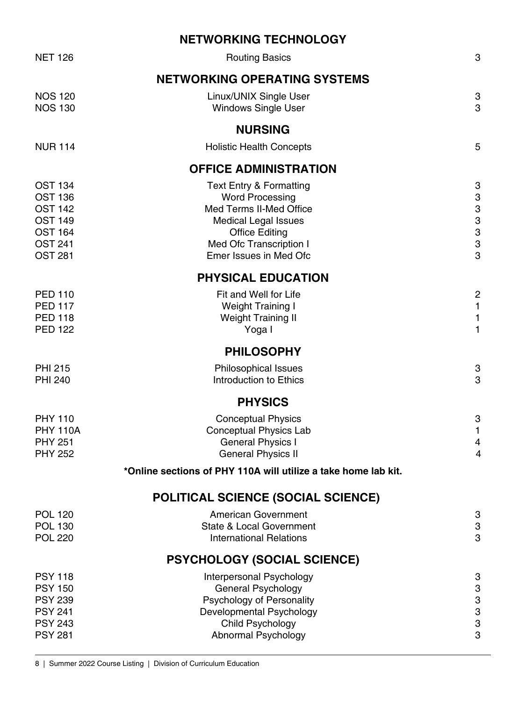|                                                                                                                            | <b>NETWORKING TECHNOLOGY</b>                                                                                                                                                                         |                                                                |
|----------------------------------------------------------------------------------------------------------------------------|------------------------------------------------------------------------------------------------------------------------------------------------------------------------------------------------------|----------------------------------------------------------------|
| <b>NET 126</b>                                                                                                             | <b>Routing Basics</b>                                                                                                                                                                                | 3                                                              |
|                                                                                                                            | <b>NETWORKING OPERATING SYSTEMS</b>                                                                                                                                                                  |                                                                |
| <b>NOS 120</b><br><b>NOS 130</b>                                                                                           | Linux/UNIX Single User<br><b>Windows Single User</b>                                                                                                                                                 | 3<br>3                                                         |
|                                                                                                                            | <b>NURSING</b>                                                                                                                                                                                       |                                                                |
| <b>NUR 114</b>                                                                                                             | <b>Holistic Health Concepts</b>                                                                                                                                                                      | 5                                                              |
|                                                                                                                            | <b>OFFICE ADMINISTRATION</b>                                                                                                                                                                         |                                                                |
| <b>OST 134</b><br><b>OST 136</b><br><b>OST 142</b><br><b>OST 149</b><br><b>OST 164</b><br><b>OST 241</b><br><b>OST 281</b> | <b>Text Entry &amp; Formatting</b><br><b>Word Processing</b><br>Med Terms II-Med Office<br><b>Medical Legal Issues</b><br><b>Office Editing</b><br>Med Ofc Transcription I<br>Emer Issues in Med Ofc | 3<br>3<br>3<br>$\mbox{3}$<br>$\mbox{3}$<br>3<br>3              |
|                                                                                                                            | PHYSICAL EDUCATION                                                                                                                                                                                   |                                                                |
| <b>PED 110</b><br><b>PED 117</b><br><b>PED 118</b><br><b>PED 122</b>                                                       | Fit and Well for Life<br>Weight Training I<br>Weight Training II<br>Yoga I                                                                                                                           | $\overline{c}$<br>$\mathbf{1}$<br>$\mathbf{1}$<br>$\mathbf{1}$ |
|                                                                                                                            | <b>PHILOSOPHY</b>                                                                                                                                                                                    |                                                                |
| <b>PHI 215</b><br><b>PHI 240</b>                                                                                           | Philosophical Issues<br>Introduction to Ethics                                                                                                                                                       | 3<br>3                                                         |
|                                                                                                                            | <b>PHYSICS</b>                                                                                                                                                                                       |                                                                |
| <b>PHY 110</b><br><b>PHY 110A</b><br><b>PHY 251</b><br><b>PHY 252</b>                                                      | <b>Conceptual Physics</b><br>Conceptual Physics Lab<br><b>General Physics I</b><br><b>General Physics II</b>                                                                                         | 3<br>1<br>4<br>$\overline{4}$                                  |
|                                                                                                                            | *Online sections of PHY 110A will utilize a take home lab kit.                                                                                                                                       |                                                                |
|                                                                                                                            | <b>POLITICAL SCIENCE (SOCIAL SCIENCE)</b>                                                                                                                                                            |                                                                |
| <b>POL 120</b><br><b>POL 130</b><br><b>POL 220</b>                                                                         | American Government<br>State & Local Government<br><b>International Relations</b>                                                                                                                    | 3<br>$\ensuremath{\mathsf{3}}$<br>3                            |
|                                                                                                                            | <b>PSYCHOLOGY (SOCIAL SCIENCE)</b>                                                                                                                                                                   |                                                                |
| <b>PSY 118</b><br><b>PSY 150</b><br><b>PSY 239</b><br><b>PSY 241</b><br><b>PSY 243</b><br><b>PSY 281</b>                   | Interpersonal Psychology<br>General Psychology<br>Psychology of Personality<br>Developmental Psychology<br>Child Psychology<br>Abnormal Psychology                                                   | 3<br>3<br>3<br>3<br>3<br>3                                     |